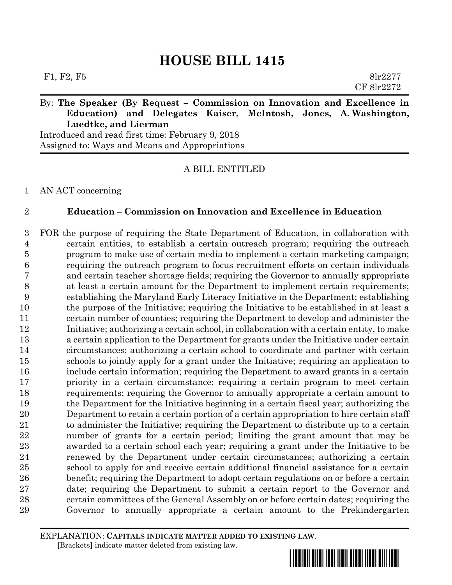# By: **The Speaker (By Request – Commission on Innovation and Excellence in Education) and Delegates Kaiser, McIntosh, Jones, A. Washington, Luedtke, and Lierman**

Introduced and read first time: February 9, 2018 Assigned to: Ways and Means and Appropriations

# A BILL ENTITLED

## AN ACT concerning

# **Education – Commission on Innovation and Excellence in Education**

 FOR the purpose of requiring the State Department of Education, in collaboration with certain entities, to establish a certain outreach program; requiring the outreach program to make use of certain media to implement a certain marketing campaign; requiring the outreach program to focus recruitment efforts on certain individuals and certain teacher shortage fields; requiring the Governor to annually appropriate at least a certain amount for the Department to implement certain requirements; establishing the Maryland Early Literacy Initiative in the Department; establishing the purpose of the Initiative; requiring the Initiative to be established in at least a certain number of counties; requiring the Department to develop and administer the Initiative; authorizing a certain school, in collaboration with a certain entity, to make a certain application to the Department for grants under the Initiative under certain circumstances; authorizing a certain school to coordinate and partner with certain schools to jointly apply for a grant under the Initiative; requiring an application to include certain information; requiring the Department to award grants in a certain priority in a certain circumstance; requiring a certain program to meet certain requirements; requiring the Governor to annually appropriate a certain amount to the Department for the Initiative beginning in a certain fiscal year; authorizing the Department to retain a certain portion of a certain appropriation to hire certain staff to administer the Initiative; requiring the Department to distribute up to a certain number of grants for a certain period; limiting the grant amount that may be awarded to a certain school each year; requiring a grant under the Initiative to be renewed by the Department under certain circumstances; authorizing a certain school to apply for and receive certain additional financial assistance for a certain benefit; requiring the Department to adopt certain regulations on or before a certain date; requiring the Department to submit a certain report to the Governor and certain committees of the General Assembly on or before certain dates; requiring the Governor to annually appropriate a certain amount to the Prekindergarten

EXPLANATION: **CAPITALS INDICATE MATTER ADDED TO EXISTING LAW**.  **[**Brackets**]** indicate matter deleted from existing law.

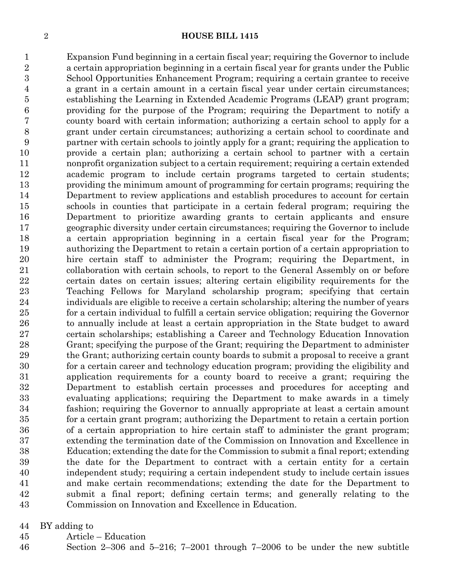Expansion Fund beginning in a certain fiscal year; requiring the Governor to include a certain appropriation beginning in a certain fiscal year for grants under the Public School Opportunities Enhancement Program; requiring a certain grantee to receive a grant in a certain amount in a certain fiscal year under certain circumstances; establishing the Learning in Extended Academic Programs (LEAP) grant program; providing for the purpose of the Program; requiring the Department to notify a county board with certain information; authorizing a certain school to apply for a grant under certain circumstances; authorizing a certain school to coordinate and partner with certain schools to jointly apply for a grant; requiring the application to provide a certain plan; authorizing a certain school to partner with a certain nonprofit organization subject to a certain requirement; requiring a certain extended academic program to include certain programs targeted to certain students; providing the minimum amount of programming for certain programs; requiring the Department to review applications and establish procedures to account for certain schools in counties that participate in a certain federal program; requiring the Department to prioritize awarding grants to certain applicants and ensure geographic diversity under certain circumstances; requiring the Governor to include a certain appropriation beginning in a certain fiscal year for the Program; authorizing the Department to retain a certain portion of a certain appropriation to hire certain staff to administer the Program; requiring the Department, in collaboration with certain schools, to report to the General Assembly on or before certain dates on certain issues; altering certain eligibility requirements for the Teaching Fellows for Maryland scholarship program; specifying that certain individuals are eligible to receive a certain scholarship; altering the number of years for a certain individual to fulfill a certain service obligation; requiring the Governor to annually include at least a certain appropriation in the State budget to award certain scholarships; establishing a Career and Technology Education Innovation Grant; specifying the purpose of the Grant; requiring the Department to administer the Grant; authorizing certain county boards to submit a proposal to receive a grant for a certain career and technology education program; providing the eligibility and application requirements for a county board to receive a grant; requiring the Department to establish certain processes and procedures for accepting and evaluating applications; requiring the Department to make awards in a timely fashion; requiring the Governor to annually appropriate at least a certain amount for a certain grant program; authorizing the Department to retain a certain portion of a certain appropriation to hire certain staff to administer the grant program; extending the termination date of the Commission on Innovation and Excellence in Education; extending the date for the Commission to submit a final report; extending the date for the Department to contract with a certain entity for a certain independent study; requiring a certain independent study to include certain issues and make certain recommendations; extending the date for the Department to submit a final report; defining certain terms; and generally relating to the Commission on Innovation and Excellence in Education.

BY adding to

Article – Education

Section 2–306 and 5–216; 7–2001 through 7–2006 to be under the new subtitle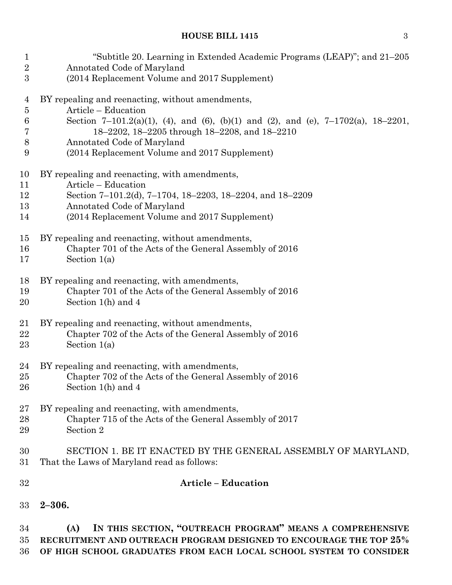| $\mathbf 1$    | "Subtitle 20. Learning in Extended Academic Programs (LEAP)"; and 21–205                                                                                                                                     |
|----------------|--------------------------------------------------------------------------------------------------------------------------------------------------------------------------------------------------------------|
| $\overline{2}$ | Annotated Code of Maryland                                                                                                                                                                                   |
| 3              | (2014 Replacement Volume and 2017 Supplement)                                                                                                                                                                |
| 4              | BY repealing and reenacting, without amendments,                                                                                                                                                             |
| $\bf 5$        | Article - Education                                                                                                                                                                                          |
| 6              | Section 7-101.2(a)(1), (4), and (6), (b)(1) and (2), and (e), 7-1702(a), 18-2201,                                                                                                                            |
| 7              | 18-2202, 18-2205 through 18-2208, and 18-2210                                                                                                                                                                |
| $8\,$          | Annotated Code of Maryland                                                                                                                                                                                   |
| 9              | (2014 Replacement Volume and 2017 Supplement)                                                                                                                                                                |
| 10             | BY repealing and reenacting, with amendments,                                                                                                                                                                |
| 11             | Article – Education                                                                                                                                                                                          |
| 12             | Section 7-101.2(d), 7-1704, 18-2203, 18-2204, and 18-2209                                                                                                                                                    |
| 13             | Annotated Code of Maryland                                                                                                                                                                                   |
| 14             | (2014 Replacement Volume and 2017 Supplement)                                                                                                                                                                |
| 15             | BY repealing and reenacting, without amendments,                                                                                                                                                             |
| 16             | Chapter 701 of the Acts of the General Assembly of 2016                                                                                                                                                      |
| 17             | Section $1(a)$                                                                                                                                                                                               |
| 18             | BY repealing and reenacting, with amendments,                                                                                                                                                                |
| 19             | Chapter 701 of the Acts of the General Assembly of 2016                                                                                                                                                      |
| 20             | Section $1(h)$ and 4                                                                                                                                                                                         |
| 21             | BY repealing and reenacting, without amendments,                                                                                                                                                             |
| 22             | Chapter 702 of the Acts of the General Assembly of 2016                                                                                                                                                      |
| 23             | Section $1(a)$                                                                                                                                                                                               |
| 24             | BY repealing and reenacting, with amendments,                                                                                                                                                                |
| 25             | Chapter 702 of the Acts of the General Assembly of 2016                                                                                                                                                      |
| 26             | Section $1(h)$ and 4                                                                                                                                                                                         |
| 27             | BY repealing and reenacting, with amendments,                                                                                                                                                                |
| 28             | Chapter 715 of the Acts of the General Assembly of 2017                                                                                                                                                      |
| 29             | Section 2                                                                                                                                                                                                    |
| 30             | SECTION 1. BE IT ENACTED BY THE GENERAL ASSEMBLY OF MARYLAND,                                                                                                                                                |
| 31             | That the Laws of Maryland read as follows:                                                                                                                                                                   |
| 32             | <b>Article - Education</b>                                                                                                                                                                                   |
| 33             | $2 - 306.$                                                                                                                                                                                                   |
| 34<br>35<br>36 | IN THIS SECTION, "OUTREACH PROGRAM" MEANS A COMPREHENSIVE<br>(A)<br>RECRUITMENT AND OUTREACH PROGRAM DESIGNED TO ENCOURAGE THE TOP 25%<br>OF HIGH SCHOOL GRADUATES FROM EACH LOCAL SCHOOL SYSTEM TO CONSIDER |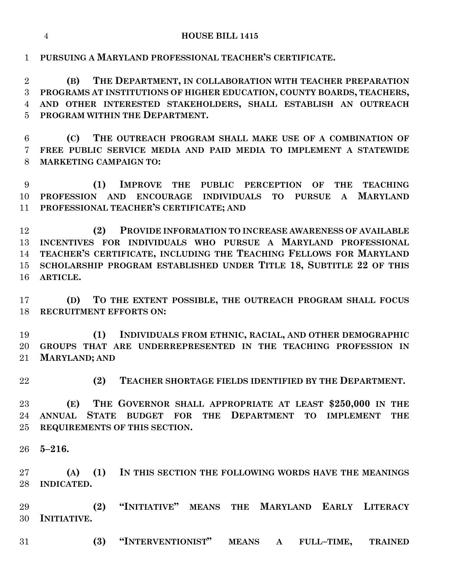**PURSUING A MARYLAND PROFESSIONAL TEACHER'S CERTIFICATE.**

 **(B) THE DEPARTMENT, IN COLLABORATION WITH TEACHER PREPARATION PROGRAMS AT INSTITUTIONS OF HIGHER EDUCATION, COUNTY BOARDS, TEACHERS, AND OTHER INTERESTED STAKEHOLDERS, SHALL ESTABLISH AN OUTREACH PROGRAM WITHIN THE DEPARTMENT.**

 **(C) THE OUTREACH PROGRAM SHALL MAKE USE OF A COMBINATION OF FREE PUBLIC SERVICE MEDIA AND PAID MEDIA TO IMPLEMENT A STATEWIDE MARKETING CAMPAIGN TO:**

 **(1) IMPROVE THE PUBLIC PERCEPTION OF THE TEACHING PROFESSION AND ENCOURAGE INDIVIDUALS TO PURSUE A MARYLAND PROFESSIONAL TEACHER'S CERTIFICATE; AND**

 **(2) PROVIDE INFORMATION TO INCREASE AWARENESS OF AVAILABLE INCENTIVES FOR INDIVIDUALS WHO PURSUE A MARYLAND PROFESSIONAL TEACHER'S CERTIFICATE, INCLUDING THE TEACHING FELLOWS FOR MARYLAND SCHOLARSHIP PROGRAM ESTABLISHED UNDER TITLE 18, SUBTITLE 22 OF THIS ARTICLE.**

 **(D) TO THE EXTENT POSSIBLE, THE OUTREACH PROGRAM SHALL FOCUS RECRUITMENT EFFORTS ON:**

 **(1) INDIVIDUALS FROM ETHNIC, RACIAL, AND OTHER DEMOGRAPHIC GROUPS THAT ARE UNDERREPRESENTED IN THE TEACHING PROFESSION IN MARYLAND; AND**

**(2) TEACHER SHORTAGE FIELDS IDENTIFIED BY THE DEPARTMENT.**

 **(E) THE GOVERNOR SHALL APPROPRIATE AT LEAST \$250,000 IN THE ANNUAL STATE BUDGET FOR THE DEPARTMENT TO IMPLEMENT THE REQUIREMENTS OF THIS SECTION.**

**5–216.**

 **(A) (1) IN THIS SECTION THE FOLLOWING WORDS HAVE THE MEANINGS INDICATED.**

 **(2) "INITIATIVE" MEANS THE MARYLAND EARLY LITERACY INITIATIVE.**

**(3) "INTERVENTIONIST" MEANS A FULL–TIME, TRAINED**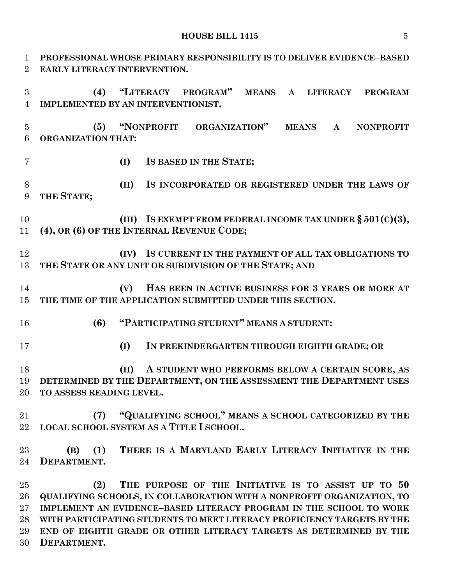**PROFESSIONAL WHOSE PRIMARY RESPONSIBILITY IS TO DELIVER EVIDENCE–BASED EARLY LITERACY INTERVENTION. (4) "LITERACY PROGRAM" MEANS A LITERACY PROGRAM IMPLEMENTED BY AN INTERVENTIONIST. (5) "NONPROFIT ORGANIZATION" MEANS A NONPROFIT ORGANIZATION THAT: (I) IS BASED IN THE STATE; (II) IS INCORPORATED OR REGISTERED UNDER THE LAWS OF THE STATE; (III) IS EXEMPT FROM FEDERAL INCOME TAX UNDER § 501(C)(3), (4), OR (6) OF THE INTERNAL REVENUE CODE; (IV) IS CURRENT IN THE PAYMENT OF ALL TAX OBLIGATIONS TO THE STATE OR ANY UNIT OR SUBDIVISION OF THE STATE; AND (V) HAS BEEN IN ACTIVE BUSINESS FOR 3 YEARS OR MORE AT THE TIME OF THE APPLICATION SUBMITTED UNDER THIS SECTION. (6) "PARTICIPATING STUDENT" MEANS A STUDENT: (I) IN PREKINDERGARTEN THROUGH EIGHTH GRADE; OR (II) A STUDENT WHO PERFORMS BELOW A CERTAIN SCORE, AS DETERMINED BY THE DEPARTMENT, ON THE ASSESSMENT THE DEPARTMENT USES TO ASSESS READING LEVEL. (7) "QUALIFYING SCHOOL" MEANS A SCHOOL CATEGORIZED BY THE LOCAL SCHOOL SYSTEM AS A TITLE I SCHOOL. (B) (1) THERE IS A MARYLAND EARLY LITERACY INITIATIVE IN THE DEPARTMENT. (2) THE PURPOSE OF THE INITIATIVE IS TO ASSIST UP TO 50 QUALIFYING SCHOOLS, IN COLLABORATION WITH A NONPROFIT ORGANIZATION, TO IMPLEMENT AN EVIDENCE–BASED LITERACY PROGRAM IN THE SCHOOL TO WORK WITH PARTICIPATING STUDENTS TO MEET LITERACY PROFICIENCY TARGETS BY THE END OF EIGHTH GRADE OR OTHER LITERACY TARGETS AS DETERMINED BY THE** 

**DEPARTMENT.**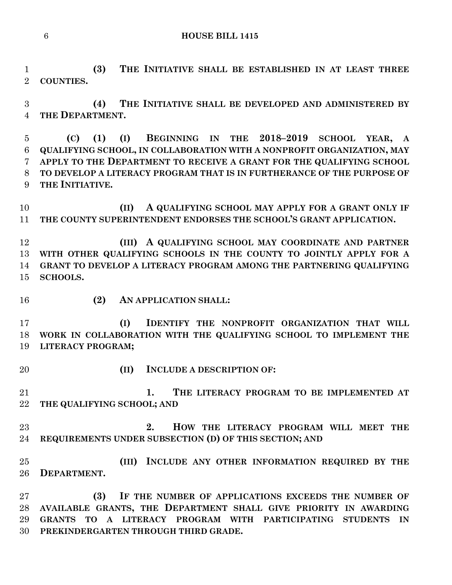**(3) THE INITIATIVE SHALL BE ESTABLISHED IN AT LEAST THREE COUNTIES.**

 **(4) THE INITIATIVE SHALL BE DEVELOPED AND ADMINISTERED BY THE DEPARTMENT.**

 **(C) (1) (I) BEGINNING IN THE 2018–2019 SCHOOL YEAR, A QUALIFYING SCHOOL, IN COLLABORATION WITH A NONPROFIT ORGANIZATION, MAY APPLY TO THE DEPARTMENT TO RECEIVE A GRANT FOR THE QUALIFYING SCHOOL TO DEVELOP A LITERACY PROGRAM THAT IS IN FURTHERANCE OF THE PURPOSE OF THE INITIATIVE.**

 **(II) A QUALIFYING SCHOOL MAY APPLY FOR A GRANT ONLY IF THE COUNTY SUPERINTENDENT ENDORSES THE SCHOOL'S GRANT APPLICATION.**

 **(III) A QUALIFYING SCHOOL MAY COORDINATE AND PARTNER WITH OTHER QUALIFYING SCHOOLS IN THE COUNTY TO JOINTLY APPLY FOR A GRANT TO DEVELOP A LITERACY PROGRAM AMONG THE PARTNERING QUALIFYING SCHOOLS.**

#### **(2) AN APPLICATION SHALL:**

 **(I) IDENTIFY THE NONPROFIT ORGANIZATION THAT WILL WORK IN COLLABORATION WITH THE QUALIFYING SCHOOL TO IMPLEMENT THE LITERACY PROGRAM;**

- 
- **(II) INCLUDE A DESCRIPTION OF:**

 **1. THE LITERACY PROGRAM TO BE IMPLEMENTED AT THE QUALIFYING SCHOOL; AND** 

 **2. HOW THE LITERACY PROGRAM WILL MEET THE REQUIREMENTS UNDER SUBSECTION (D) OF THIS SECTION; AND**

 **(III) INCLUDE ANY OTHER INFORMATION REQUIRED BY THE DEPARTMENT.**

 **(3) IF THE NUMBER OF APPLICATIONS EXCEEDS THE NUMBER OF AVAILABLE GRANTS, THE DEPARTMENT SHALL GIVE PRIORITY IN AWARDING GRANTS TO A LITERACY PROGRAM WITH PARTICIPATING STUDENTS IN PREKINDERGARTEN THROUGH THIRD GRADE.**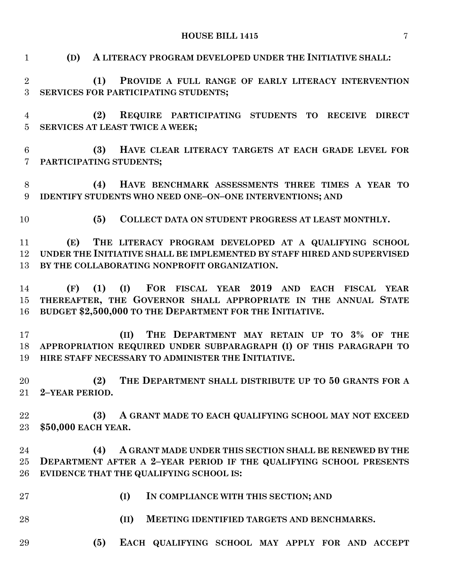| $\mathbf{1}$                      | A LITERACY PROGRAM DEVELOPED UNDER THE INITIATIVE SHALL:<br>(D)                                                                                                                           |
|-----------------------------------|-------------------------------------------------------------------------------------------------------------------------------------------------------------------------------------------|
| $\overline{2}$<br>$\overline{3}$  | (1)<br>PROVIDE A FULL RANGE OF EARLY LITERACY INTERVENTION<br>SERVICES FOR PARTICIPATING STUDENTS;                                                                                        |
| $\overline{4}$<br>$\overline{5}$  | (2)<br>REQUIRE PARTICIPATING STUDENTS TO RECEIVE DIRECT<br>SERVICES AT LEAST TWICE A WEEK;                                                                                                |
| $6\phantom{.}6$<br>$\overline{7}$ | (3)<br>HAVE CLEAR LITERACY TARGETS AT EACH GRADE LEVEL FOR<br>PARTICIPATING STUDENTS;                                                                                                     |
| $8\,$<br>9                        | HAVE BENCHMARK ASSESSMENTS THREE TIMES A YEAR TO<br>(4)<br>IDENTIFY STUDENTS WHO NEED ONE-ON-ONE INTERVENTIONS; AND                                                                       |
| 10                                | COLLECT DATA ON STUDENT PROGRESS AT LEAST MONTHLY.<br>(5)                                                                                                                                 |
| 11<br>12<br>13                    | THE LITERACY PROGRAM DEVELOPED AT A QUALIFYING SCHOOL<br>(E)<br>UNDER THE INITIATIVE SHALL BE IMPLEMENTED BY STAFF HIRED AND SUPERVISED<br>BY THE COLLABORATING NONPROFIT ORGANIZATION.   |
| 14<br>15 <sup>°</sup><br>16       | (I) FOR FISCAL YEAR 2019 AND EACH FISCAL YEAR<br>(1)<br>(F)<br>THEREAFTER, THE GOVERNOR SHALL APPROPRIATE IN THE ANNUAL STATE<br>BUDGET \$2,500,000 TO THE DEPARTMENT FOR THE INITIATIVE. |
| 17<br>18<br>19                    | THE DEPARTMENT MAY RETAIN UP TO 3% OF THE<br>(II)<br>APPROPRIATION REQUIRED UNDER SUBPARAGRAPH (I) OF THIS PARAGRAPH TO<br>HIRE STAFF NECESSARY TO ADMINISTER THE INITIATIVE.             |
| 20                                | THE DEPARTMENT SHALL DISTRIBUTE UP TO 50 GRANTS FOR A<br>(2)<br>21 2-YEAR PERIOD.                                                                                                         |
| 22<br>23                          | A GRANT MADE TO EACH QUALIFYING SCHOOL MAY NOT EXCEED<br>(3)<br>\$50,000 EACH YEAR.                                                                                                       |
| 24<br>$25\,$<br>26                | (4)<br>A GRANT MADE UNDER THIS SECTION SHALL BE RENEWED BY THE<br>DEPARTMENT AFTER A 2-YEAR PERIOD IF THE QUALIFYING SCHOOL PRESENTS<br>EVIDENCE THAT THE QUALIFYING SCHOOL IS:           |
| 27                                | (I)<br>IN COMPLIANCE WITH THIS SECTION; AND                                                                                                                                               |
| 28                                | (II)<br>MEETING IDENTIFIED TARGETS AND BENCHMARKS.                                                                                                                                        |
| 29                                | (5)<br>EACH QUALIFYING SCHOOL MAY APPLY FOR AND ACCEPT                                                                                                                                    |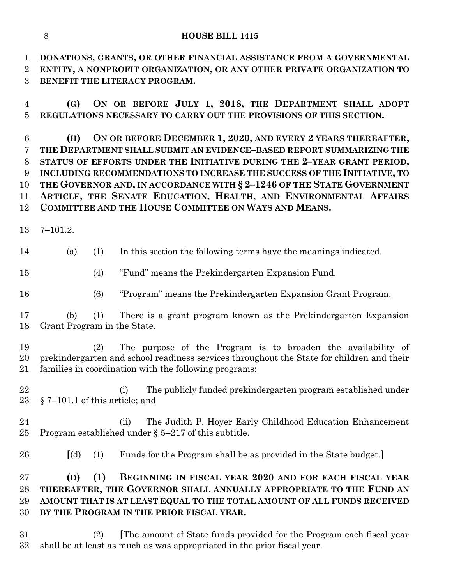**DONATIONS, GRANTS, OR OTHER FINANCIAL ASSISTANCE FROM A GOVERNMENTAL ENTITY, A NONPROFIT ORGANIZATION, OR ANY OTHER PRIVATE ORGANIZATION TO BENEFIT THE LITERACY PROGRAM.**

 **(G) ON OR BEFORE JULY 1, 2018, THE DEPARTMENT SHALL ADOPT REGULATIONS NECESSARY TO CARRY OUT THE PROVISIONS OF THIS SECTION.**

 **(H) ON OR BEFORE DECEMBER 1, 2020, AND EVERY 2 YEARS THEREAFTER, THE DEPARTMENT SHALL SUBMIT AN EVIDENCE–BASED REPORT SUMMARIZING THE STATUS OF EFFORTS UNDER THE INITIATIVE DURING THE 2–YEAR GRANT PERIOD, INCLUDING RECOMMENDATIONS TO INCREASE THE SUCCESS OF THE INITIATIVE, TO THE GOVERNOR AND, IN ACCORDANCE WITH § 2–1246 OF THE STATE GOVERNMENT ARTICLE, THE SENATE EDUCATION, HEALTH, AND ENVIRONMENTAL AFFAIRS COMMITTEE AND THE HOUSE COMMITTEE ON WAYS AND MEANS.**

7–101.2.

(a) (1) In this section the following terms have the meanings indicated.

(4) "Fund" means the Prekindergarten Expansion Fund.

(6) "Program" means the Prekindergarten Expansion Grant Program.

 (b) (1) There is a grant program known as the Prekindergarten Expansion Grant Program in the State.

 (2) The purpose of the Program is to broaden the availability of prekindergarten and school readiness services throughout the State for children and their families in coordination with the following programs:

 (i) The publicly funded prekindergarten program established under § 7–101.1 of this article; and

- (ii) The Judith P. Hoyer Early Childhood Education Enhancement Program established under § 5–217 of this subtitle.
- **[**(d) (1) Funds for the Program shall be as provided in the State budget.**]**

# **(D) (1) BEGINNING IN FISCAL YEAR 2020 AND FOR EACH FISCAL YEAR THEREAFTER, THE GOVERNOR SHALL ANNUALLY APPROPRIATE TO THE FUND AN AMOUNT THAT IS AT LEAST EQUAL TO THE TOTAL AMOUNT OF ALL FUNDS RECEIVED BY THE PROGRAM IN THE PRIOR FISCAL YEAR.**

 (2) **[**The amount of State funds provided for the Program each fiscal year shall be at least as much as was appropriated in the prior fiscal year.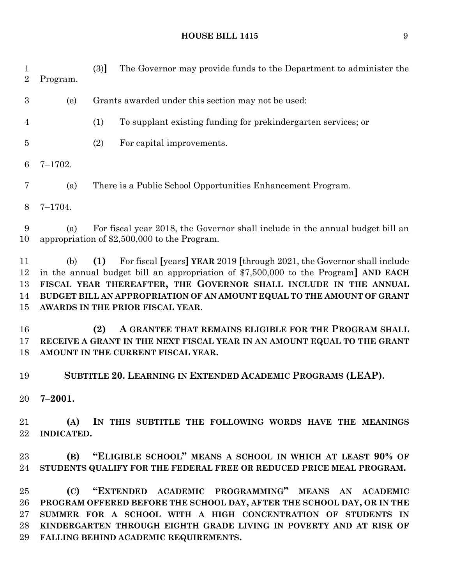(3)**]** The Governor may provide funds to the Department to administer the Program. (e) Grants awarded under this section may not be used: (1) To supplant existing funding for prekindergarten services; or (2) For capital improvements. 7–1702. (a) There is a Public School Opportunities Enhancement Program. 7–1704. (a) For fiscal year 2018, the Governor shall include in the annual budget bill an appropriation of \$2,500,000 to the Program. (b) **(1)** For fiscal **[**years**] YEAR** 2019 **[**through 2021, the Governor shall include in the annual budget bill an appropriation of \$7,500,000 to the Program**] AND EACH FISCAL YEAR THEREAFTER, THE GOVERNOR SHALL INCLUDE IN THE ANNUAL BUDGET BILL AN APPROPRIATION OF AN AMOUNT EQUAL TO THE AMOUNT OF GRANT AWARDS IN THE PRIOR FISCAL YEAR**. **(2) A GRANTEE THAT REMAINS ELIGIBLE FOR THE PROGRAM SHALL RECEIVE A GRANT IN THE NEXT FISCAL YEAR IN AN AMOUNT EQUAL TO THE GRANT AMOUNT IN THE CURRENT FISCAL YEAR. SUBTITLE 20. LEARNING IN EXTENDED ACADEMIC PROGRAMS (LEAP). 7–2001. (A) IN THIS SUBTITLE THE FOLLOWING WORDS HAVE THE MEANINGS INDICATED. (B) "ELIGIBLE SCHOOL" MEANS A SCHOOL IN WHICH AT LEAST 90% OF STUDENTS QUALIFY FOR THE FEDERAL FREE OR REDUCED PRICE MEAL PROGRAM. (C) "EXTENDED ACADEMIC PROGRAMMING" MEANS AN ACADEMIC**

 **PROGRAM OFFERED BEFORE THE SCHOOL DAY, AFTER THE SCHOOL DAY, OR IN THE SUMMER FOR A SCHOOL WITH A HIGH CONCENTRATION OF STUDENTS IN KINDERGARTEN THROUGH EIGHTH GRADE LIVING IN POVERTY AND AT RISK OF FALLING BEHIND ACADEMIC REQUIREMENTS.**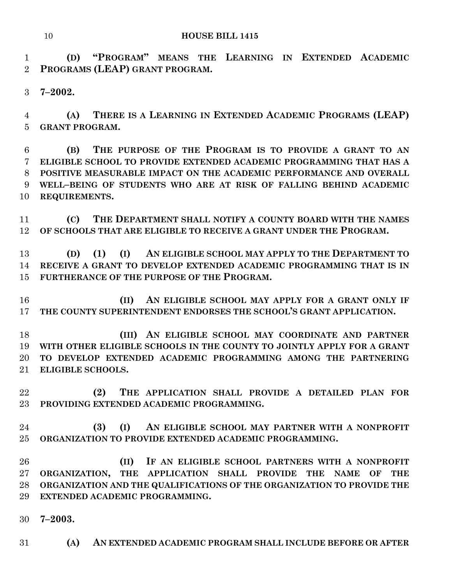**(D) "PROGRAM" MEANS THE LEARNING IN EXTENDED ACADEMIC PROGRAMS (LEAP) GRANT PROGRAM.**

**7–2002.**

 **(A) THERE IS A LEARNING IN EXTENDED ACADEMIC PROGRAMS (LEAP) GRANT PROGRAM.**

 **(B) THE PURPOSE OF THE PROGRAM IS TO PROVIDE A GRANT TO AN ELIGIBLE SCHOOL TO PROVIDE EXTENDED ACADEMIC PROGRAMMING THAT HAS A POSITIVE MEASURABLE IMPACT ON THE ACADEMIC PERFORMANCE AND OVERALL WELL–BEING OF STUDENTS WHO ARE AT RISK OF FALLING BEHIND ACADEMIC REQUIREMENTS.**

 **(C) THE DEPARTMENT SHALL NOTIFY A COUNTY BOARD WITH THE NAMES OF SCHOOLS THAT ARE ELIGIBLE TO RECEIVE A GRANT UNDER THE PROGRAM.**

 **(D) (1) (I) AN ELIGIBLE SCHOOL MAY APPLY TO THE DEPARTMENT TO RECEIVE A GRANT TO DEVELOP EXTENDED ACADEMIC PROGRAMMING THAT IS IN FURTHERANCE OF THE PURPOSE OF THE PROGRAM.**

 **(II) AN ELIGIBLE SCHOOL MAY APPLY FOR A GRANT ONLY IF THE COUNTY SUPERINTENDENT ENDORSES THE SCHOOL'S GRANT APPLICATION.**

 **(III) AN ELIGIBLE SCHOOL MAY COORDINATE AND PARTNER WITH OTHER ELIGIBLE SCHOOLS IN THE COUNTY TO JOINTLY APPLY FOR A GRANT TO DEVELOP EXTENDED ACADEMIC PROGRAMMING AMONG THE PARTNERING ELIGIBLE SCHOOLS.**

 **(2) THE APPLICATION SHALL PROVIDE A DETAILED PLAN FOR PROVIDING EXTENDED ACADEMIC PROGRAMMING.**

 **(3) (I) AN ELIGIBLE SCHOOL MAY PARTNER WITH A NONPROFIT ORGANIZATION TO PROVIDE EXTENDED ACADEMIC PROGRAMMING.**

 **(II) IF AN ELIGIBLE SCHOOL PARTNERS WITH A NONPROFIT ORGANIZATION, THE APPLICATION SHALL PROVIDE THE NAME OF THE ORGANIZATION AND THE QUALIFICATIONS OF THE ORGANIZATION TO PROVIDE THE EXTENDED ACADEMIC PROGRAMMING.**

- **7–2003.**
- **(A) AN EXTENDED ACADEMIC PROGRAM SHALL INCLUDE BEFORE OR AFTER**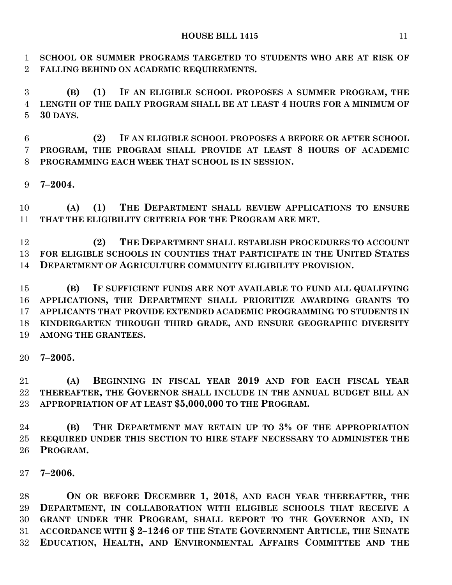**SCHOOL OR SUMMER PROGRAMS TARGETED TO STUDENTS WHO ARE AT RISK OF FALLING BEHIND ON ACADEMIC REQUIREMENTS.**

 **(B) (1) IF AN ELIGIBLE SCHOOL PROPOSES A SUMMER PROGRAM, THE LENGTH OF THE DAILY PROGRAM SHALL BE AT LEAST 4 HOURS FOR A MINIMUM OF 30 DAYS.**

 **(2) IF AN ELIGIBLE SCHOOL PROPOSES A BEFORE OR AFTER SCHOOL PROGRAM, THE PROGRAM SHALL PROVIDE AT LEAST 8 HOURS OF ACADEMIC PROGRAMMING EACH WEEK THAT SCHOOL IS IN SESSION.**

**7–2004.**

 **(A) (1) THE DEPARTMENT SHALL REVIEW APPLICATIONS TO ENSURE THAT THE ELIGIBILITY CRITERIA FOR THE PROGRAM ARE MET.**

 **(2) THE DEPARTMENT SHALL ESTABLISH PROCEDURES TO ACCOUNT FOR ELIGIBLE SCHOOLS IN COUNTIES THAT PARTICIPATE IN THE UNITED STATES DEPARTMENT OF AGRICULTURE COMMUNITY ELIGIBILITY PROVISION.**

 **(B) IF SUFFICIENT FUNDS ARE NOT AVAILABLE TO FUND ALL QUALIFYING APPLICATIONS, THE DEPARTMENT SHALL PRIORITIZE AWARDING GRANTS TO APPLICANTS THAT PROVIDE EXTENDED ACADEMIC PROGRAMMING TO STUDENTS IN KINDERGARTEN THROUGH THIRD GRADE, AND ENSURE GEOGRAPHIC DIVERSITY AMONG THE GRANTEES.**

**7–2005.**

 **(A) BEGINNING IN FISCAL YEAR 2019 AND FOR EACH FISCAL YEAR THEREAFTER, THE GOVERNOR SHALL INCLUDE IN THE ANNUAL BUDGET BILL AN APPROPRIATION OF AT LEAST \$5,000,000 TO THE PROGRAM.**

 **(B) THE DEPARTMENT MAY RETAIN UP TO 3% OF THE APPROPRIATION REQUIRED UNDER THIS SECTION TO HIRE STAFF NECESSARY TO ADMINISTER THE PROGRAM.**

**7–2006.**

 **ON OR BEFORE DECEMBER 1, 2018, AND EACH YEAR THEREAFTER, THE DEPARTMENT, IN COLLABORATION WITH ELIGIBLE SCHOOLS THAT RECEIVE A GRANT UNDER THE PROGRAM, SHALL REPORT TO THE GOVERNOR AND, IN ACCORDANCE WITH § 2–1246 OF THE STATE GOVERNMENT ARTICLE, THE SENATE EDUCATION, HEALTH, AND ENVIRONMENTAL AFFAIRS COMMITTEE AND THE**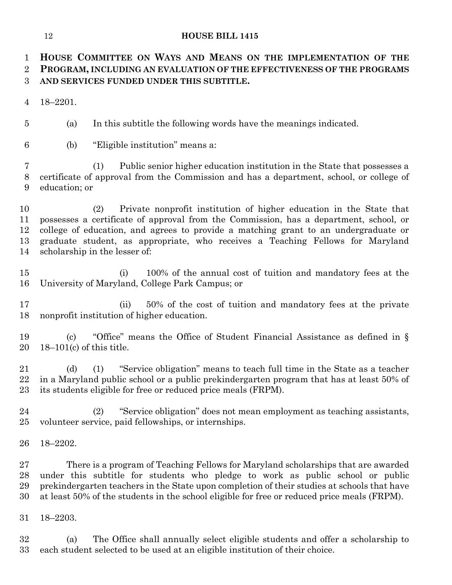**HOUSE COMMITTEE ON WAYS AND MEANS ON THE IMPLEMENTATION OF THE PROGRAM, INCLUDING AN EVALUATION OF THE EFFECTIVENESS OF THE PROGRAMS AND SERVICES FUNDED UNDER THIS SUBTITLE.**

18–2201.

(a) In this subtitle the following words have the meanings indicated.

(b) "Eligible institution" means a:

 (1) Public senior higher education institution in the State that possesses a certificate of approval from the Commission and has a department, school, or college of education; or

 (2) Private nonprofit institution of higher education in the State that possesses a certificate of approval from the Commission, has a department, school, or college of education, and agrees to provide a matching grant to an undergraduate or graduate student, as appropriate, who receives a Teaching Fellows for Maryland scholarship in the lesser of:

 (i) 100% of the annual cost of tuition and mandatory fees at the University of Maryland, College Park Campus; or

 (ii) 50% of the cost of tuition and mandatory fees at the private nonprofit institution of higher education.

 (c) "Office" means the Office of Student Financial Assistance as defined in § 18–101(c) of this title.

 (d) (1) "Service obligation" means to teach full time in the State as a teacher in a Maryland public school or a public prekindergarten program that has at least 50% of its students eligible for free or reduced price meals (FRPM).

 (2) "Service obligation" does not mean employment as teaching assistants, volunteer service, paid fellowships, or internships.

18–2202.

 There is a program of Teaching Fellows for Maryland scholarships that are awarded under this subtitle for students who pledge to work as public school or public prekindergarten teachers in the State upon completion of their studies at schools that have at least 50% of the students in the school eligible for free or reduced price meals (FRPM).

18–2203.

 (a) The Office shall annually select eligible students and offer a scholarship to each student selected to be used at an eligible institution of their choice.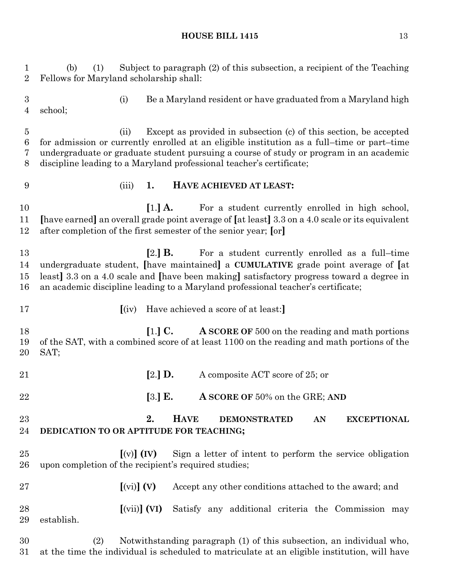(i) Be a Maryland resident or have graduated from a Maryland high (ii) Except as provided in subsection (c) of this section, be accepted for admission or currently enrolled at an eligible institution as a full–time or part–time undergraduate or graduate student pursuing a course of study or program in an academic discipline leading to a Maryland professional teacher's certificate; (iii) **1. HAVE ACHIEVED AT LEAST:**

**[1.] A.** For a student currently enrolled in high school, **[**have earned**]** an overall grade point average of **[**at least**]** 3.3 on a 4.0 scale or its equivalent after completion of the first semester of the senior year; **[**or**]**

 **[**2.**] B.** For a student currently enrolled as a full–time undergraduate student, **[**have maintained**]** a **CUMULATIVE** grade point average of **[**at least**]** 3.3 on a 4.0 scale and **[**have been making**]** satisfactory progress toward a degree in an academic discipline leading to a Maryland professional teacher's certificate;

**[**(iv) Have achieved a score of at least:**]**

school;

 **[**1.**] C. A SCORE OF** 500 on the reading and math portions of the SAT, with a combined score of at least 1100 on the reading and math portions of the SAT;

| 21       |                                                                                                                                            | $[2.]$ D.                                         |             |  | A composite ACT score of 25; or |  |    |                                                                      |  |
|----------|--------------------------------------------------------------------------------------------------------------------------------------------|---------------------------------------------------|-------------|--|---------------------------------|--|----|----------------------------------------------------------------------|--|
| 22       |                                                                                                                                            | $[3.]$ E.                                         |             |  | A SCORE OF 50% on the GRE; AND  |  |    |                                                                      |  |
| 23<br>24 | DEDICATION TO OR APTITUDE FOR TEACHING;                                                                                                    | 2.                                                | <b>HAVE</b> |  | <b>DEMONSTRATED</b>             |  | AN | <b>EXCEPTIONAL</b>                                                   |  |
| 25<br>26 | $\lceil (v) \rceil$ (IV) Sign a letter of intent to perform the service obligation<br>upon completion of the recipient's required studies; |                                                   |             |  |                                 |  |    |                                                                      |  |
| 27       |                                                                                                                                            | $\left[\text{(vi)}\right]$ (V)                    |             |  |                                 |  |    | Accept any other conditions attached to the award; and               |  |
| 28<br>29 | establish.                                                                                                                                 | $\left[ \left( \mathrm{vii} \right) \right]$ (VI) |             |  |                                 |  |    | Satisfy any additional criteria the Commission may                   |  |
| 30       | (2)                                                                                                                                        |                                                   |             |  |                                 |  |    | Notwithstanding paragraph (1) of this subsection, an individual who, |  |

at the time the individual is scheduled to matriculate at an eligible institution, will have

 (b) (1) Subject to paragraph (2) of this subsection, a recipient of the Teaching Fellows for Maryland scholarship shall: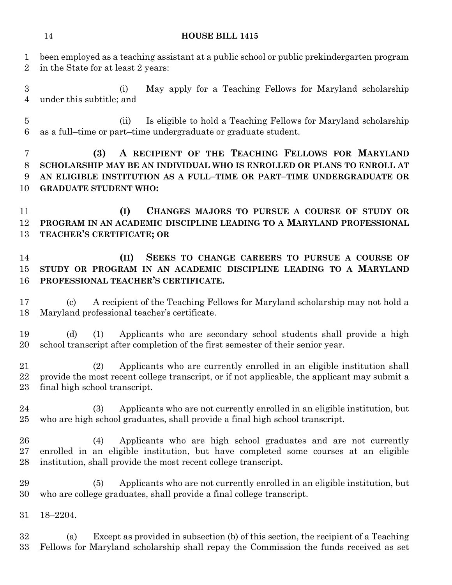been employed as a teaching assistant at a public school or public prekindergarten program in the State for at least 2 years: (i) May apply for a Teaching Fellows for Maryland scholarship under this subtitle; and (ii) Is eligible to hold a Teaching Fellows for Maryland scholarship as a full–time or part–time undergraduate or graduate student. **(3) A RECIPIENT OF THE TEACHING FELLOWS FOR MARYLAND SCHOLARSHIP MAY BE AN INDIVIDUAL WHO IS ENROLLED OR PLANS TO ENROLL AT AN ELIGIBLE INSTITUTION AS A FULL–TIME OR PART–TIME UNDERGRADUATE OR GRADUATE STUDENT WHO: (I) CHANGES MAJORS TO PURSUE A COURSE OF STUDY OR PROGRAM IN AN ACADEMIC DISCIPLINE LEADING TO A MARYLAND PROFESSIONAL TEACHER'S CERTIFICATE; OR (II) SEEKS TO CHANGE CAREERS TO PURSUE A COURSE OF STUDY OR PROGRAM IN AN ACADEMIC DISCIPLINE LEADING TO A MARYLAND PROFESSIONAL TEACHER'S CERTIFICATE.** (c) A recipient of the Teaching Fellows for Maryland scholarship may not hold a Maryland professional teacher's certificate. (d) (1) Applicants who are secondary school students shall provide a high school transcript after completion of the first semester of their senior year.

 (2) Applicants who are currently enrolled in an eligible institution shall provide the most recent college transcript, or if not applicable, the applicant may submit a final high school transcript.

 (3) Applicants who are not currently enrolled in an eligible institution, but who are high school graduates, shall provide a final high school transcript.

 (4) Applicants who are high school graduates and are not currently enrolled in an eligible institution, but have completed some courses at an eligible institution, shall provide the most recent college transcript.

 (5) Applicants who are not currently enrolled in an eligible institution, but who are college graduates, shall provide a final college transcript.

18–2204.

 (a) Except as provided in subsection (b) of this section, the recipient of a Teaching Fellows for Maryland scholarship shall repay the Commission the funds received as set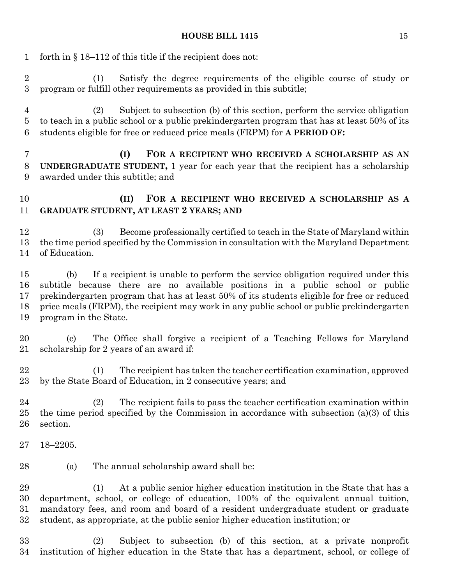forth in § 18–112 of this title if the recipient does not: (1) Satisfy the degree requirements of the eligible course of study or program or fulfill other requirements as provided in this subtitle; (2) Subject to subsection (b) of this section, perform the service obligation to teach in a public school or a public prekindergarten program that has at least 50% of its students eligible for free or reduced price meals (FRPM) for **A PERIOD OF: (I) FOR A RECIPIENT WHO RECEIVED A SCHOLARSHIP AS AN UNDERGRADUATE STUDENT,** 1 year for each year that the recipient has a scholarship awarded under this subtitle; and **(II) FOR A RECIPIENT WHO RECEIVED A SCHOLARSHIP AS A GRADUATE STUDENT, AT LEAST 2 YEARS; AND** (3) Become professionally certified to teach in the State of Maryland within the time period specified by the Commission in consultation with the Maryland Department of Education. (b) If a recipient is unable to perform the service obligation required under this subtitle because there are no available positions in a public school or public prekindergarten program that has at least 50% of its students eligible for free or reduced price meals (FRPM), the recipient may work in any public school or public prekindergarten program in the State. (c) The Office shall forgive a recipient of a Teaching Fellows for Maryland scholarship for 2 years of an award if: (1) The recipient has taken the teacher certification examination, approved by the State Board of Education, in 2 consecutive years; and (2) The recipient fails to pass the teacher certification examination within the time period specified by the Commission in accordance with subsection (a)(3) of this section. 18–2205. (a) The annual scholarship award shall be: (1) At a public senior higher education institution in the State that has a department, school, or college of education, 100% of the equivalent annual tuition, mandatory fees, and room and board of a resident undergraduate student or graduate student, as appropriate, at the public senior higher education institution; or (2) Subject to subsection (b) of this section, at a private nonprofit institution of higher education in the State that has a department, school, or college of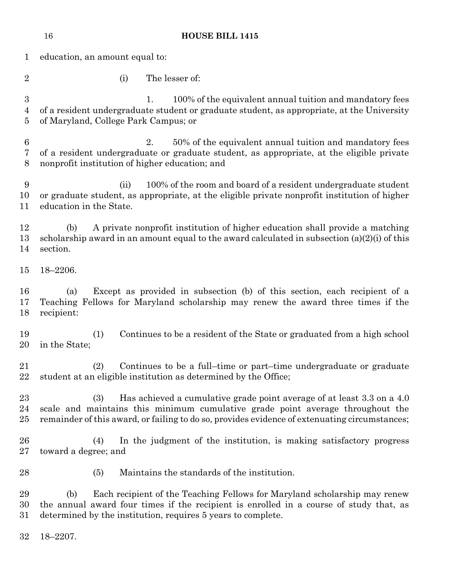|                            | <b>HOUSE BILL 1415</b><br>16                                                                                                                                                                                                                                     |  |  |  |  |  |
|----------------------------|------------------------------------------------------------------------------------------------------------------------------------------------------------------------------------------------------------------------------------------------------------------|--|--|--|--|--|
| 1                          | education, an amount equal to:                                                                                                                                                                                                                                   |  |  |  |  |  |
| $\overline{2}$             | The lesser of:<br>(i)                                                                                                                                                                                                                                            |  |  |  |  |  |
| $\boldsymbol{3}$<br>4<br>5 | 100% of the equivalent annual tuition and mandatory fees<br>1.<br>of a resident undergraduate student or graduate student, as appropriate, at the University<br>of Maryland, College Park Campus; or                                                             |  |  |  |  |  |
| 6<br>7<br>8                | 50% of the equivalent annual tuition and mandatory fees<br>2.<br>of a resident undergraduate or graduate student, as appropriate, at the eligible private<br>nonprofit institution of higher education; and                                                      |  |  |  |  |  |
| 9<br>10<br>11              | 100% of the room and board of a resident undergraduate student<br>(ii)<br>or graduate student, as appropriate, at the eligible private nonprofit institution of higher<br>education in the State.                                                                |  |  |  |  |  |
| 12<br>13<br>14             | A private nonprofit institution of higher education shall provide a matching<br>(b)<br>scholarship award in an amount equal to the award calculated in subsection $(a)(2)(i)$ of this<br>section.                                                                |  |  |  |  |  |
| 15                         | $18 - 2206.$                                                                                                                                                                                                                                                     |  |  |  |  |  |
| 16<br>17<br>18             | Except as provided in subsection (b) of this section, each recipient of a<br>(a)<br>Teaching Fellows for Maryland scholarship may renew the award three times if the<br>recipient:                                                                               |  |  |  |  |  |
| 19<br>20                   | Continues to be a resident of the State or graduated from a high school<br>(1)<br>in the State;                                                                                                                                                                  |  |  |  |  |  |
| 21<br>22                   | (2)<br>Continues to be a full-time or part-time undergraduate or graduate<br>student at an eligible institution as determined by the Office;                                                                                                                     |  |  |  |  |  |
| 23<br>24<br>25             | Has achieved a cumulative grade point average of at least 3.3 on a 4.0<br>(3)<br>scale and maintains this minimum cumulative grade point average throughout the<br>remainder of this award, or failing to do so, provides evidence of extenuating circumstances; |  |  |  |  |  |
| 26<br>27                   | In the judgment of the institution, is making satisfactory progress<br>(4)<br>toward a degree; and                                                                                                                                                               |  |  |  |  |  |
| 28                         | Maintains the standards of the institution.<br>(5)                                                                                                                                                                                                               |  |  |  |  |  |
| 29<br>30<br>31             | Each recipient of the Teaching Fellows for Maryland scholarship may renew<br>(b)<br>the annual award four times if the recipient is enrolled in a course of study that, as<br>determined by the institution, requires 5 years to complete.                       |  |  |  |  |  |
| 32                         | $18 - 2207.$                                                                                                                                                                                                                                                     |  |  |  |  |  |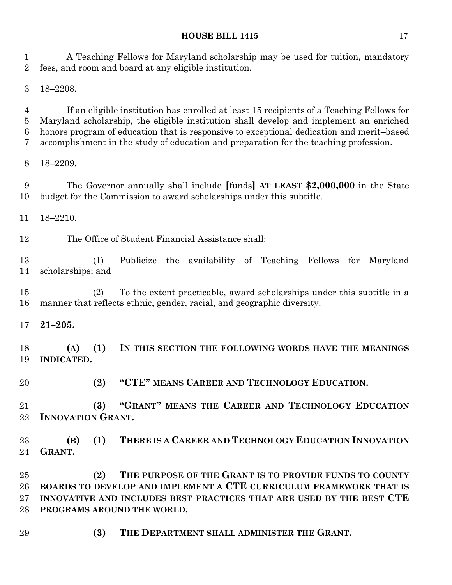A Teaching Fellows for Maryland scholarship may be used for tuition, mandatory fees, and room and board at any eligible institution.

18–2208.

 If an eligible institution has enrolled at least 15 recipients of a Teaching Fellows for Maryland scholarship, the eligible institution shall develop and implement an enriched honors program of education that is responsive to exceptional dedication and merit–based accomplishment in the study of education and preparation for the teaching profession.

18–2209.

 The Governor annually shall include **[**funds**] AT LEAST \$2,000,000** in the State budget for the Commission to award scholarships under this subtitle.

18–2210.

The Office of Student Financial Assistance shall:

 (1) Publicize the availability of Teaching Fellows for Maryland scholarships; and

 (2) To the extent practicable, award scholarships under this subtitle in a manner that reflects ethnic, gender, racial, and geographic diversity.

**21–205.**

 **(A) (1) IN THIS SECTION THE FOLLOWING WORDS HAVE THE MEANINGS INDICATED.**

**(2) "CTE" MEANS CAREER AND TECHNOLOGY EDUCATION.**

 **(3) "GRANT" MEANS THE CAREER AND TECHNOLOGY EDUCATION INNOVATION GRANT.**

 **(B) (1) THERE IS A CAREER AND TECHNOLOGY EDUCATION INNOVATION GRANT.**

 **(2) THE PURPOSE OF THE GRANT IS TO PROVIDE FUNDS TO COUNTY BOARDS TO DEVELOP AND IMPLEMENT A CTE CURRICULUM FRAMEWORK THAT IS INNOVATIVE AND INCLUDES BEST PRACTICES THAT ARE USED BY THE BEST CTE PROGRAMS AROUND THE WORLD.**

**(3) THE DEPARTMENT SHALL ADMINISTER THE GRANT.**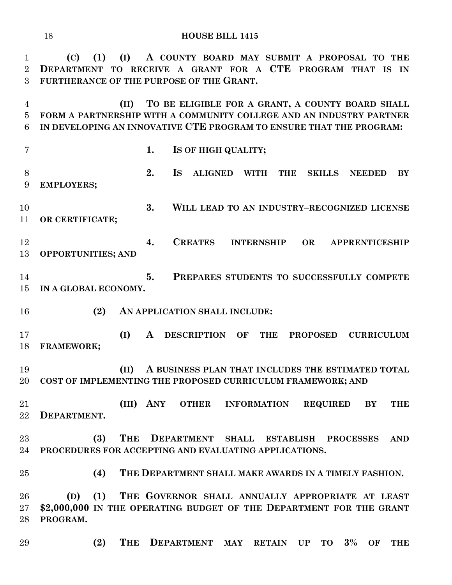**(C) (1) (I) A COUNTY BOARD MAY SUBMIT A PROPOSAL TO THE DEPARTMENT TO RECEIVE A GRANT FOR A CTE PROGRAM THAT IS IN FURTHERANCE OF THE PURPOSE OF THE GRANT. (II) TO BE ELIGIBLE FOR A GRANT, A COUNTY BOARD SHALL FORM A PARTNERSHIP WITH A COMMUNITY COLLEGE AND AN INDUSTRY PARTNER IN DEVELOPING AN INNOVATIVE CTE PROGRAM TO ENSURE THAT THE PROGRAM: 1. IS OF HIGH QUALITY; 2. IS ALIGNED WITH THE SKILLS NEEDED BY EMPLOYERS; 3. WILL LEAD TO AN INDUSTRY–RECOGNIZED LICENSE OR CERTIFICATE; 4. CREATES INTERNSHIP OR APPRENTICESHIP OPPORTUNITIES; AND 5. PREPARES STUDENTS TO SUCCESSFULLY COMPETE IN A GLOBAL ECONOMY. (2) AN APPLICATION SHALL INCLUDE: (I) A DESCRIPTION OF THE PROPOSED CURRICULUM FRAMEWORK; (II) A BUSINESS PLAN THAT INCLUDES THE ESTIMATED TOTAL COST OF IMPLEMENTING THE PROPOSED CURRICULUM FRAMEWORK; AND (III) ANY OTHER INFORMATION REQUIRED BY THE DEPARTMENT. (3) THE DEPARTMENT SHALL ESTABLISH PROCESSES AND PROCEDURES FOR ACCEPTING AND EVALUATING APPLICATIONS. (4) THE DEPARTMENT SHALL MAKE AWARDS IN A TIMELY FASHION. (D) (1) THE GOVERNOR SHALL ANNUALLY APPROPRIATE AT LEAST \$2,000,000 IN THE OPERATING BUDGET OF THE DEPARTMENT FOR THE GRANT PROGRAM.**

**(2) THE DEPARTMENT MAY RETAIN UP TO 3% OF THE**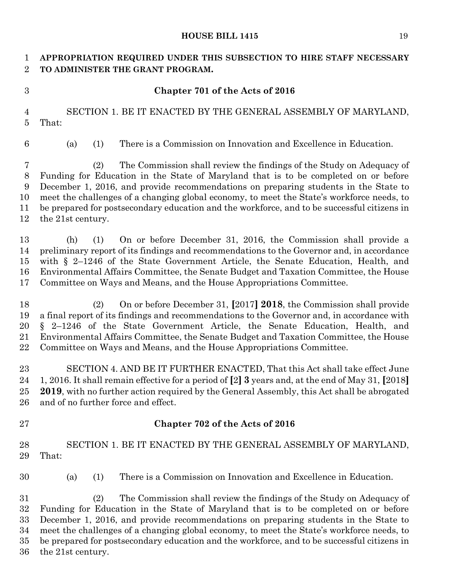# **APPROPRIATION REQUIRED UNDER THIS SUBSECTION TO HIRE STAFF NECESSARY TO ADMINISTER THE GRANT PROGRAM.**

# **Chapter 701 of the Acts of 2016**

 SECTION 1. BE IT ENACTED BY THE GENERAL ASSEMBLY OF MARYLAND, That:

(a) (1) There is a Commission on Innovation and Excellence in Education.

 (2) The Commission shall review the findings of the Study on Adequacy of Funding for Education in the State of Maryland that is to be completed on or before December 1, 2016, and provide recommendations on preparing students in the State to meet the challenges of a changing global economy, to meet the State's workforce needs, to be prepared for postsecondary education and the workforce, and to be successful citizens in the 21st century.

 (h) (1) On or before December 31, 2016, the Commission shall provide a preliminary report of its findings and recommendations to the Governor and, in accordance with § 2–1246 of the State Government Article, the Senate Education, Health, and Environmental Affairs Committee, the Senate Budget and Taxation Committee, the House Committee on Ways and Means, and the House Appropriations Committee.

 (2) On or before December 31, **[**2017**] 2018**, the Commission shall provide a final report of its findings and recommendations to the Governor and, in accordance with § 2–1246 of the State Government Article, the Senate Education, Health, and Environmental Affairs Committee, the Senate Budget and Taxation Committee, the House Committee on Ways and Means, and the House Appropriations Committee.

 SECTION 4. AND BE IT FURTHER ENACTED, That this Act shall take effect June 1, 2016. It shall remain effective for a period of **[**2**] 3** years and, at the end of May 31, **[**2018**] 2019**, with no further action required by the General Assembly, this Act shall be abrogated and of no further force and effect.

# **Chapter 702 of the Acts of 2016**

 SECTION 1. BE IT ENACTED BY THE GENERAL ASSEMBLY OF MARYLAND, That:

(a) (1) There is a Commission on Innovation and Excellence in Education.

 (2) The Commission shall review the findings of the Study on Adequacy of Funding for Education in the State of Maryland that is to be completed on or before December 1, 2016, and provide recommendations on preparing students in the State to meet the challenges of a changing global economy, to meet the State's workforce needs, to be prepared for postsecondary education and the workforce, and to be successful citizens in the 21st century.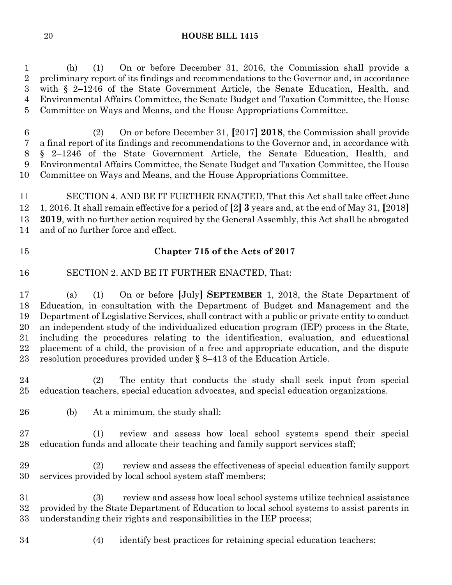(h) (1) On or before December 31, 2016, the Commission shall provide a preliminary report of its findings and recommendations to the Governor and, in accordance with § 2–1246 of the State Government Article, the Senate Education, Health, and Environmental Affairs Committee, the Senate Budget and Taxation Committee, the House Committee on Ways and Means, and the House Appropriations Committee.

 (2) On or before December 31, **[**2017**] 2018**, the Commission shall provide a final report of its findings and recommendations to the Governor and, in accordance with § 2–1246 of the State Government Article, the Senate Education, Health, and Environmental Affairs Committee, the Senate Budget and Taxation Committee, the House Committee on Ways and Means, and the House Appropriations Committee.

 SECTION 4. AND BE IT FURTHER ENACTED, That this Act shall take effect June 1, 2016. It shall remain effective for a period of **[**2**] 3** years and, at the end of May 31, **[**2018**] 2019**, with no further action required by the General Assembly, this Act shall be abrogated and of no further force and effect.

# **Chapter 715 of the Acts of 2017**

SECTION 2. AND BE IT FURTHER ENACTED, That:

 (a) (1) On or before **[**July**] SEPTEMBER** 1, 2018, the State Department of Education, in consultation with the Department of Budget and Management and the Department of Legislative Services, shall contract with a public or private entity to conduct an independent study of the individualized education program (IEP) process in the State, including the procedures relating to the identification, evaluation, and educational placement of a child, the provision of a free and appropriate education, and the dispute resolution procedures provided under § 8–413 of the Education Article.

 (2) The entity that conducts the study shall seek input from special education teachers, special education advocates, and special education organizations.

(b) At a minimum, the study shall:

 (1) review and assess how local school systems spend their special education funds and allocate their teaching and family support services staff;

 (2) review and assess the effectiveness of special education family support services provided by local school system staff members;

 (3) review and assess how local school systems utilize technical assistance provided by the State Department of Education to local school systems to assist parents in understanding their rights and responsibilities in the IEP process;

(4) identify best practices for retaining special education teachers;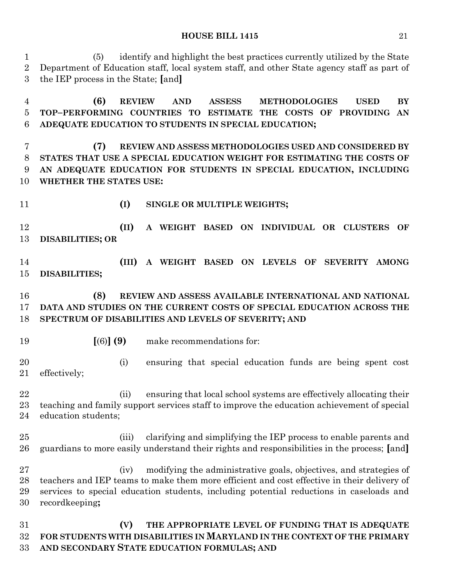(5) identify and highlight the best practices currently utilized by the State Department of Education staff, local system staff, and other State agency staff as part of the IEP process in the State; **[**and**]**

 **(6) REVIEW AND ASSESS METHODOLOGIES USED BY TOP–PERFORMING COUNTRIES TO ESTIMATE THE COSTS OF PROVIDING AN ADEQUATE EDUCATION TO STUDENTS IN SPECIAL EDUCATION;**

 **(7) REVIEW AND ASSESS METHODOLOGIES USED AND CONSIDERED BY STATES THAT USE A SPECIAL EDUCATION WEIGHT FOR ESTIMATING THE COSTS OF AN ADEQUATE EDUCATION FOR STUDENTS IN SPECIAL EDUCATION, INCLUDING WHETHER THE STATES USE:**

- 
- **(I) SINGLE OR MULTIPLE WEIGHTS;**

 **(II) A WEIGHT BASED ON INDIVIDUAL OR CLUSTERS OF DISABILITIES; OR** 

 **(III) A WEIGHT BASED ON LEVELS OF SEVERITY AMONG DISABILITIES;**

## **(8) REVIEW AND ASSESS AVAILABLE INTERNATIONAL AND NATIONAL DATA AND STUDIES ON THE CURRENT COSTS OF SPECIAL EDUCATION ACROSS THE SPECTRUM OF DISABILITIES AND LEVELS OF SEVERITY; AND**

- 
- **[**(6)**] (9)** make recommendations for:

 (i) ensuring that special education funds are being spent cost effectively;

 (ii) ensuring that local school systems are effectively allocating their teaching and family support services staff to improve the education achievement of special education students;

 (iii) clarifying and simplifying the IEP process to enable parents and guardians to more easily understand their rights and responsibilities in the process; **[**and**]**

 (iv) modifying the administrative goals, objectives, and strategies of teachers and IEP teams to make them more efficient and cost effective in their delivery of services to special education students, including potential reductions in caseloads and recordkeeping**;**

 **(V) THE APPROPRIATE LEVEL OF FUNDING THAT IS ADEQUATE FOR STUDENTS WITH DISABILITIES IN MARYLAND IN THE CONTEXT OF THE PRIMARY AND SECONDARY STATE EDUCATION FORMULAS; AND**